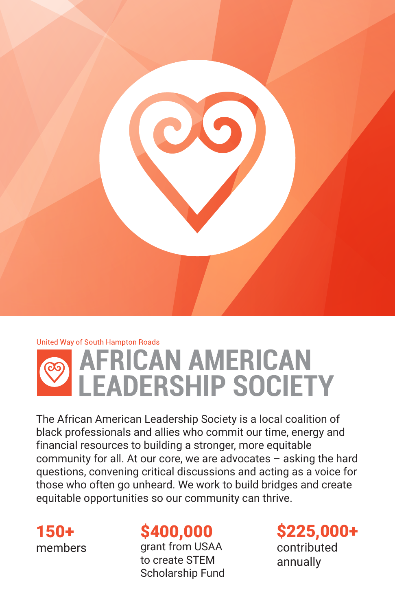

# United Way of South Hampton Roads AFRICAN AMERICAN<br>LEADERSHIP SOCIETY

The African American Leadership Society is a local coalition of black professionals and allies who commit our time, energy and financial resources to building a stronger, more equitable community for all. At our core, we are advocates – asking the hard questions, convening critical discussions and acting as a voice for those who often go unheard. We work to build bridges and create equitable opportunities so our community can thrive.

150+ members

## \$400,000

grant from USAA to create STEM Scholarship Fund \$225,000+ contributed

annually